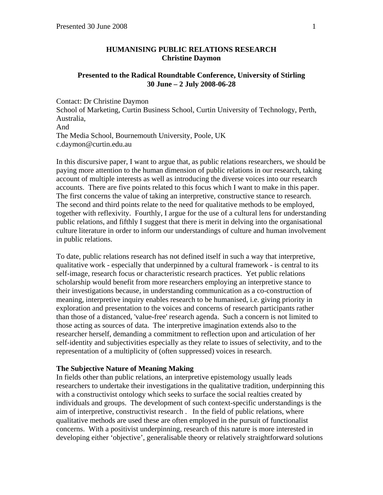## **HUMANISING PUBLIC RELATIONS RESEARCH Christine Daymon**

# **Presented to the Radical Roundtable Conference, University of Stirling 30 June – 2 July 2008-06-28**

Contact: Dr Christine Daymon School of Marketing, Curtin Business School, Curtin University of Technology, Perth, Australia, And The Media School, Bournemouth University, Poole, UK c.daymon@curtin.edu.au

In this discursive paper, I want to argue that, as public relations researchers, we should be paying more attention to the human dimension of public relations in our research, taking account of multiple interests as well as introducing the diverse voices into our research accounts. There are five points related to this focus which I want to make in this paper. The first concerns the value of taking an interpretive, constructive stance to research. The second and third points relate to the need for qualitative methods to be employed, together with reflexivity. Fourthly, I argue for the use of a cultural lens for understanding public relations, and fifthly I suggest that there is merit in delving into the organisational culture literature in order to inform our understandings of culture and human involvement in public relations.

To date, public relations research has not defined itself in such a way that interpretive, qualitative work - especially that underpinned by a cultural framework - is central to its self-image, research focus or characteristic research practices. Yet public relations scholarship would benefit from more researchers employing an interpretive stance to their investigations because, in understanding communication as a co-construction of meaning, interpretive inquiry enables research to be humanised, i.e. giving priority in exploration and presentation to the voices and concerns of research participants rather than those of a distanced, 'value-free' research agenda. Such a concern is not limited to those acting as sources of data. The interpretive imagination extends also to the researcher herself, demanding a commitment to reflection upon and articulation of her self-identity and subjectivities especially as they relate to issues of selectivity, and to the representation of a multiplicity of (often suppressed) voices in research.

## **The Subjective Nature of Meaning Making**

In fields other than public relations, an interpretive epistemology usually leads researchers to undertake their investigations in the qualitative tradition, underpinning this with a constructivist ontology which seeks to surface the social realties created by individuals and groups. The development of such context-specific understandings is the aim of interpretive, constructivist research . In the field of public relations, where qualitative methods are used these are often employed in the pursuit of functionalist concerns. With a positivist underpinning, research of this nature is more interested in developing either 'objective', generalisable theory or relatively straightforward solutions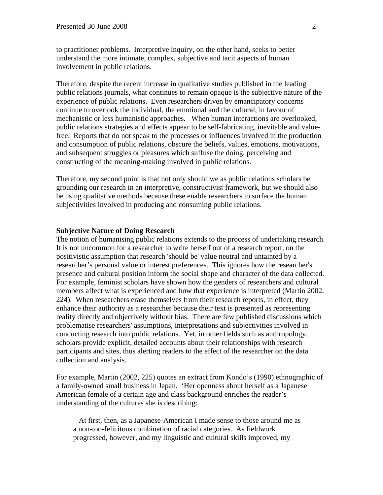to practitioner problems. Interpretive inquiry, on the other hand, seeks to better understand the more intimate, complex, subjective and tacit aspects of human involvement in public relations.

Therefore, despite the recent increase in qualitative studies published in the leading public relations journals, what continues to remain opaque is the subjective nature of the experience of public relations. Even researchers driven by emancipatory concerns continue to overlook the individual, the emotional and the cultural, in favour of mechanistic or less humanistic approaches*.* When human interactions are overlooked, public relations strategies and effects appear to be self-fabricating, inevitable and valuefree. Reports that do not speak to the processes or influences involved in the production and consumption of public relations, obscure the beliefs, values, emotions, motivations, and subsequent struggles or pleasures which suffuse the doing, perceiving and constructing of the meaning-making involved in public relations.

Therefore, my second point is that not only should we as public relations scholars be grounding our research in an interpretive, constructivist framework, but we should also be using qualitative methods because these enable researchers to surface the human subjectivities involved in producing and consuming public relations.

#### **Subjective Nature of Doing Research**

The notion of humanising public relations extends to the process of undertaking research. It is not uncommon for a researcher to write herself out of a research report, on the positivistic assumption that research 'should be' value neutral and untainted by a researcher's personal value or interest preferences. This ignores how the researcher's presence and cultural position inform the social shape and character of the data collected. For example, feminist scholars have shown how the genders of researchers and cultural members affect what is experienced and how that experience is interpreted (Martin 2002, 224). When researchers erase themselves from their research reports, in effect, they enhance their authority as a researcher because their text is presented as representing reality directly and objectively without bias. There are few published discussions which problematise researchers' assumptions, interpretations and subjectivities involved in conducting research into public relations. Yet, in other fields such as anthropology, scholars provide explicit, detailed accounts about their relationships with research participants and sites, thus alerting readers to the effect of the researcher on the data collection and analysis.

For example, Martin (2002, 225) quotes an extract from Kondo's (1990) ethnographic of a family-owned small business in Japan. 'Her openness about herself as a Japanese American female of a certain age and class background enriches the reader's understanding of the cultures she is describing:

 At first, then, as a Japanese-American I made sense to those around me as a non-too-felicitous combination of racial categories. As fieldwork progressed, however, and my linguistic and cultural skills improved, my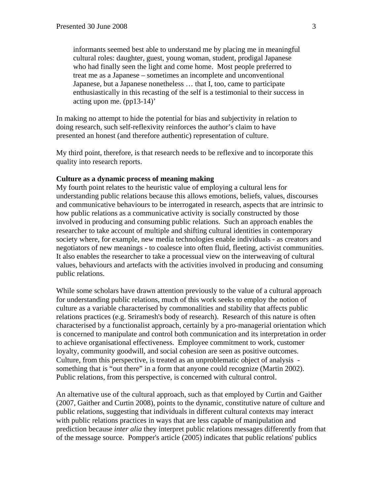informants seemed best able to understand me by placing me in meaningful cultural roles: daughter, guest, young woman, student, prodigal Japanese who had finally seen the light and come home. Most people preferred to treat me as a Japanese – sometimes an incomplete and unconventional Japanese, but a Japanese nonetheless … that I, too, came to participate enthusiastically in this recasting of the self is a testimonial to their success in acting upon me. (pp13-14)'

In making no attempt to hide the potential for bias and subjectivity in relation to doing research, such self-reflexivity reinforces the author's claim to have presented an honest (and therefore authentic) representation of culture.

My third point, therefore, is that research needs to be reflexive and to incorporate this quality into research reports.

# **Culture as a dynamic process of meaning making**

My fourth point relates to the heuristic value of employing a cultural lens for understanding public relations because this allows emotions, beliefs, values, discourses and communicative behaviours to be interrogated in research, aspects that are intrinsic to how public relations as a communicative activity is socially constructed by those involved in producing and consuming public relations. Such an approach enables the researcher to take account of multiple and shifting cultural identities in contemporary society where, for example, new media technologies enable individuals - as creators and negotiators of new meanings - to coalesce into often fluid, fleeting, activist communities. It also enables the researcher to take a processual view on the interweaving of cultural values, behaviours and artefacts with the activities involved in producing and consuming public relations.

While some scholars have drawn attention previously to the value of a cultural approach for understanding public relations, much of this work seeks to employ the notion of culture as a variable characterised by commonalities and stability that affects public relations practices (e.g. Sriramesh's body of research). Research of this nature is often characterised by a functionalist approach, certainly by a pro-managerial orientation which is concerned to manipulate and control both communication and its interpretation in order to achieve organisational effectiveness. Employee commitment to work, customer loyalty, community goodwill, and social cohesion are seen as positive outcomes. Culture, from this perspective, is treated as an unproblematic object of analysis something that is "out there" in a form that anyone could recognize (Martin 2002). Public relations, from this perspective, is concerned with cultural control.

An alternative use of the cultural approach, such as that employed by Curtin and Gaither (2007, Gaither and Curtin 2008), points to the dynamic, constitutive nature of culture and public relations, suggesting that individuals in different cultural contexts may interact with public relations practices in ways that are less capable of manipulation and prediction because *inter alia* they interpret public relations messages differently from that of the message source. Pompper's article (2005) indicates that public relations' publics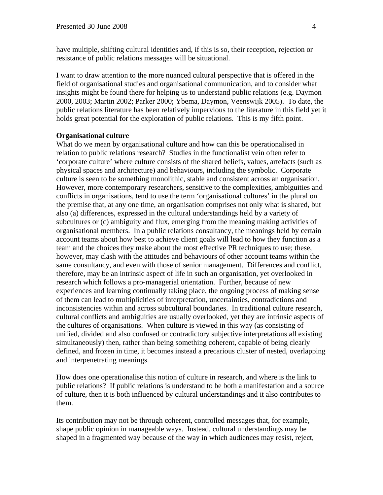have multiple, shifting cultural identities and, if this is so, their reception, rejection or resistance of public relations messages will be situational.

I want to draw attention to the more nuanced cultural perspective that is offered in the field of organisational studies and organisational communication, and to consider what insights might be found there for helping us to understand public relations (e.g. Daymon 2000, 2003; Martin 2002; Parker 2000; Ybema, Daymon, Veenswijk 2005). To date, the public relations literature has been relatively impervious to the literature in this field yet it holds great potential for the exploration of public relations. This is my fifth point.

#### **Organisational culture**

What do we mean by organisational culture and how can this be operationalised in relation to public relations research? Studies in the functionalist vein often refer to 'corporate culture' where culture consists of the shared beliefs, values, artefacts (such as physical spaces and architecture) and behaviours, including the symbolic. Corporate culture is seen to be something monolithic, stable and consistent across an organisation. However, more contemporary researchers, sensitive to the complexities, ambiguities and conflicts in organisations, tend to use the term 'organisational cultures' in the plural on the premise that, at any one time, an organisation comprises not only what is shared, but also (a) differences, expressed in the cultural understandings held by a variety of subcultures or (c) ambiguity and flux, emerging from the meaning making activities of organisational members. In a public relations consultancy, the meanings held by certain account teams about how best to achieve client goals will lead to how they function as a team and the choices they make about the most effective PR techniques to use; these, however, may clash with the attitudes and behaviours of other account teams within the same consultancy, and even with those of senior management. Differences and conflict, therefore, may be an intrinsic aspect of life in such an organisation, yet overlooked in research which follows a pro-managerial orientation. Further, because of new experiences and learning continually taking place, the ongoing process of making sense of them can lead to multiplicities of interpretation, uncertainties, contradictions and inconsistencies within and across subcultural boundaries. In traditional culture research, cultural conflicts and ambiguities are usually overlooked, yet they are intrinsic aspects of the cultures of organisations. When culture is viewed in this way (as consisting of unified, divided and also confused or contradictory subjective interpretations all existing simultaneously) then, rather than being something coherent, capable of being clearly defined, and frozen in time, it becomes instead a precarious cluster of nested, overlapping and interpenetrating meanings.

How does one operationalise this notion of culture in research, and where is the link to public relations? If public relations is understand to be both a manifestation and a source of culture, then it is both influenced by cultural understandings and it also contributes to them.

Its contribution may not be through coherent, controlled messages that, for example, shape public opinion in manageable ways. Instead, cultural understandings may be shaped in a fragmented way because of the way in which audiences may resist, reject,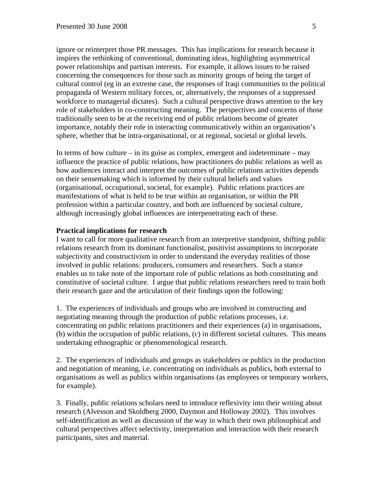ignore or reinterpret those PR messages. This has implications for research because it inspires the rethinking of conventional, dominating ideas, highlighting asymmetrical power relationships and partisan interests. For example, it allows issues to be raised concerning the consequences for those such as minority groups of being the target of cultural control (eg in an extreme case, the responses of Iraqi communities to the political propaganda of Western military forces, or, alternatively, the responses of a suppressed workforce to managerial dictates). Such a cultural perspective draws attention to the key role of stakeholders in co-constructing meaning. The perspectives and concerns of those traditionally seen to be at the receiving end of public relations become of greater importance, notably their role in interacting communicatively within an organisation's sphere, whether that be intra-organisational, or at regional, societal or global levels.

In terms of how culture – in its guise as complex, emergent and indeterminate – may influence the practice of public relations, how practitioners do public relations as well as how audiences interact and interpret the outcomes of public relations activities depends on their sensemaking which is informed by their cultural beliefs and values (organisational, occupational, societal, for example). Public relations practices are manifestations of what is held to be true within an organisation, or within the PR profession within a particular country, and both are influenced by societal culture, although increasingly global influences are interpenetrating each of these.

# **Practical implications for research**

I want to call for more qualitative research from an interpretive standpoint, shifting public relations research from its dominant functionalist, positivist assumptions to incorporate subjectivity and constructivism in order to understand the everyday realities of those involved in public relations: producers, consumers and researchers. Such a stance enables us to take note of the important role of public relations as both constituting and constitutive of societal culture. I argue that public relations researchers need to train both their research gaze and the articulation of their findings upon the following:

1. The experiences of individuals and groups who are involved in constructing and negotiating meaning through the production of public relations processes, i.e. concentrating on public relations practitioners and their experiences (a) in organisations, (b) within the occupation of public relations, (c) in different societal cultures. This means undertaking ethnographic or phenomenological research.

2. The experiences of individuals and groups as stakeholders or publics in the production and negotiation of meaning, i.e. concentrating on individuals as publics, both external to organisations as well as publics within organisations (as employees or temporary workers, for example).

3. Finally, public relations scholars need to introduce reflexivity into their writing about research (Alvesson and Skoldberg 2000, Daymon and Holloway 2002). This involves self-identification as well as discussion of the way in which their own philosophical and cultural perspectives affect selectivity, interpretation and interaction with their research participants, sites and material.